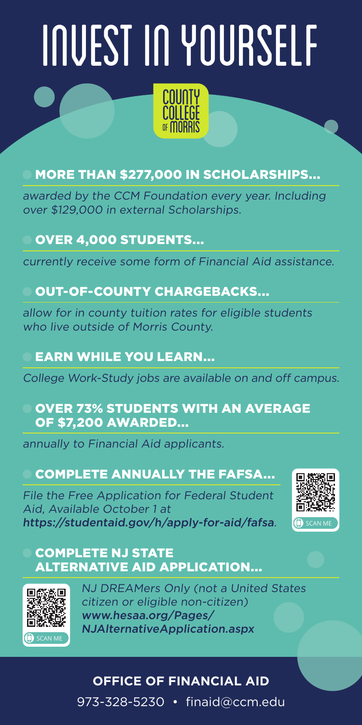# INVEST IN YOURSELF

#### MORE THAN \$277,000 IN SCHOLARSHIPS...

awarded by the CCM Foundation every year. Including over \$129,000 in external Scholarships.

#### OVER 4,000 STUDENTS...

currently receive some form of Financial Aid assistance.

#### OUT-OF-COUNTY CHARGEBACKS...

allow for in county tuition rates for eligible students who live outside of Morris County.

#### EARN WHILE YOU LEARN...

College Work-Study jobs are available on and off campus.

#### OVER 73% STUDENTS WITH AN AVERAGE OF \$7,200 AWARDED...

annually to Financial Aid applicants.

#### [COMPLETE ANNUALLY THE FAFSA...](https://studentaid.gov/h/apply-for-aid/fafsa)

[File the Free Application for Federal Student](https://studentaid.gov/h/apply-for-aid/fafsa)  [Aid, Available October 1 at](https://studentaid.gov/h/apply-for-aid/fafsa)  <https://studentaid.gov/h/apply-for-aid/fafsa>.



#### [COMPLETE NJ STATE](http://www.hesaa.org/Pages/NJAlternativeApplication.aspx)  [ALTERNATIVE AID APPLICATION...](http://www.hesaa.org/Pages/NJAlternativeApplication.aspx)



[NJ DREAMers Only \(not a United States](http://www.hesaa.org/Pages/NJAlternativeApplication.aspx)  [citizen or eligible non-citizen\)](http://www.hesaa.org/Pages/NJAlternativeApplication.aspx) [www.hesaa.org/Pages/](http://www.hesaa.org/Pages/NJAlternativeApplication.aspx) [NJAlternativeApplication.aspx](http://www.hesaa.org/Pages/NJAlternativeApplication.aspx)

#### **OFFICE OF FINANCIAL AID** 973-328-5230 • [finaid@ccm.edu](mailto:finaid%40ccm.edu?subject=)